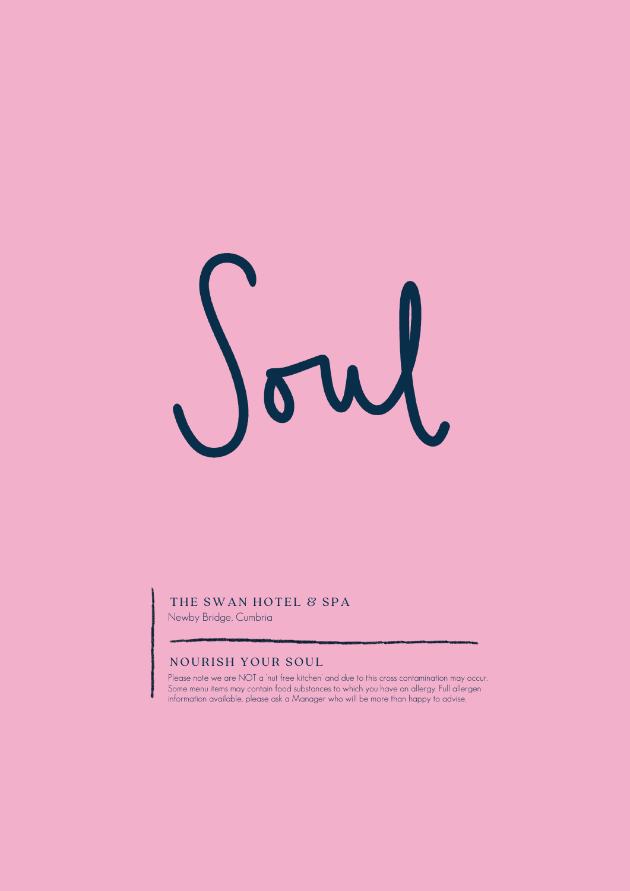

#### THE SWAN HOTEL & SPA

Newby Bridge, Cumbria

### NOURISH YOUR SOUL

Please note we are NOT a 'nut free kitchen' and due to this cross contamination may occur. Some menu items may contain food substances to which you have an allergy. Full allergen information available, please ask a Manager who will be more than happy to advise.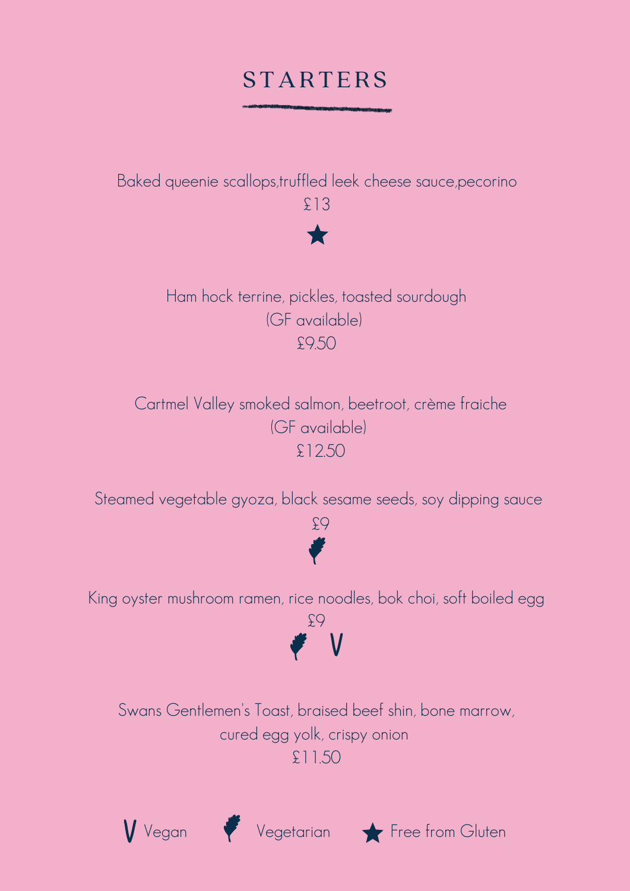## **STARTERS**

Baked queenie scallops,truffled leek cheese sauce,pecorino £13



Ham hock terrine, pickles, toasted sourdough (GF available) £9.50

Cartmel Valley smoked salmon, beetroot, crème fraiche (GF available) £12.50

Steamed vegetable gyoza, black sesame seeds, soy dipping sauce



King oyster mushroom ramen, rice noodles, bok choi, soft boiled egg



Swans Gentlemen's Toast, braised beef shin, bone marrow, cured egg yolk, crispy onion £11.50





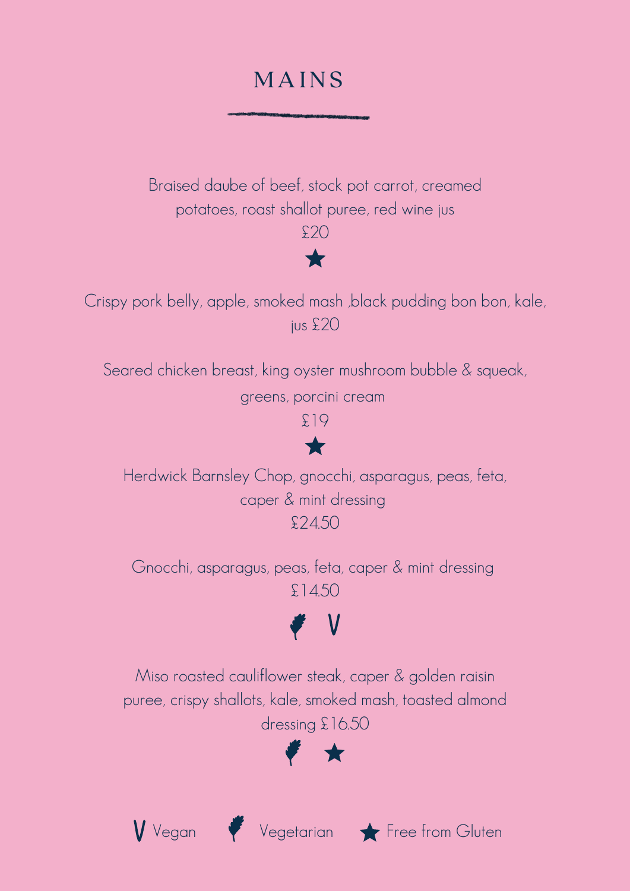## M A INS

Braised daube of beef, stock pot carrot, creamed potatoes, roast shallot puree, red wine jus £20 ★ Crispy pork belly, apple, smoked mash ,black pudding bon bon, kale, jus £20 Seared chicken breast, king oyster mushroom bubble & squeak, greens, porcini cream £19  $\bigstar$ Herdwick Barnsley Chop, gnocchi, asparagus, peas, feta, caper & mint dressing £24.50 Gnocchi, asparagus, peas, feta, caper & mint dressing £14.50  $\bigtriangledown$ Miso roasted cauliflower steak, caper & golden raisin puree, crispy shallots, kale, smoked mash, toasted almond dressing £16.50 ▓ V Vegan Vegetarian Free from Gluten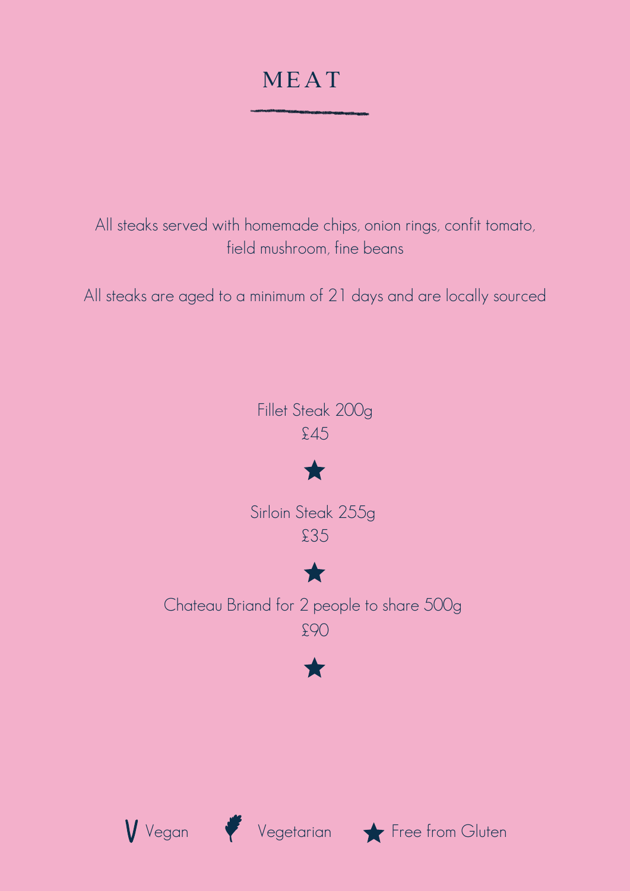## **MEAT**

All steaks served with homemade chips, onion rings, confit tomato, field mushroom, fine beans

All steaks are aged to a minimum of 21 days and are locally sourced





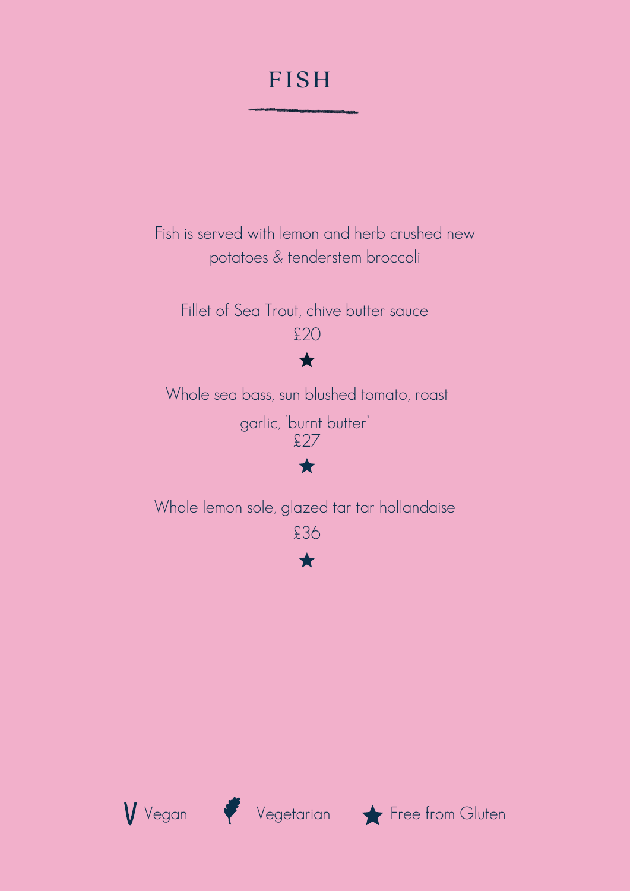## **FISH**



Fillet of Sea Trout, chive butter sauce £20

★

## Whole sea bass, sun blushed tomato, roast garlic, 'burnt butter' £27 ★

Whole lemon sole, glazed tar tar hollandaise £36

 $\bigstar$ 





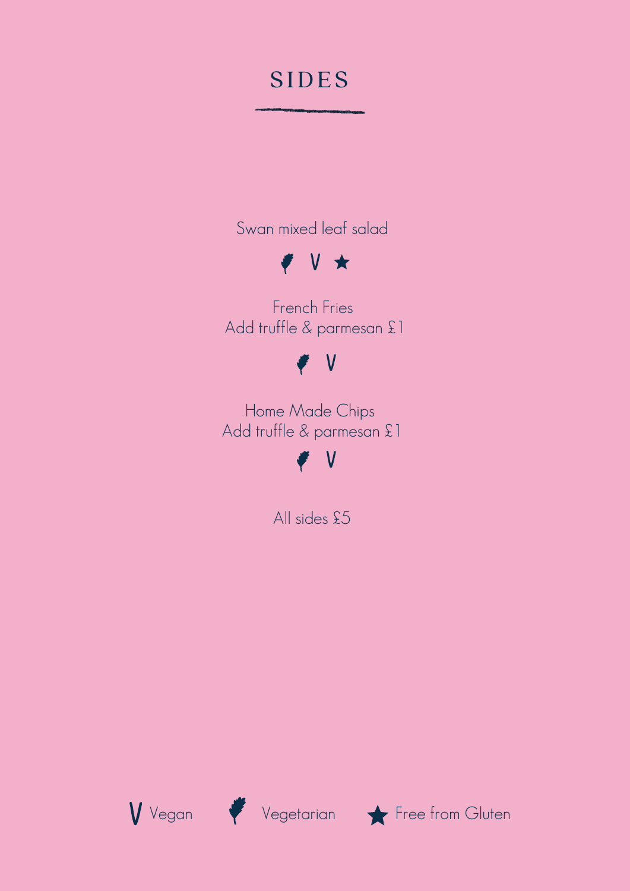## **SIDES**



All sides £5





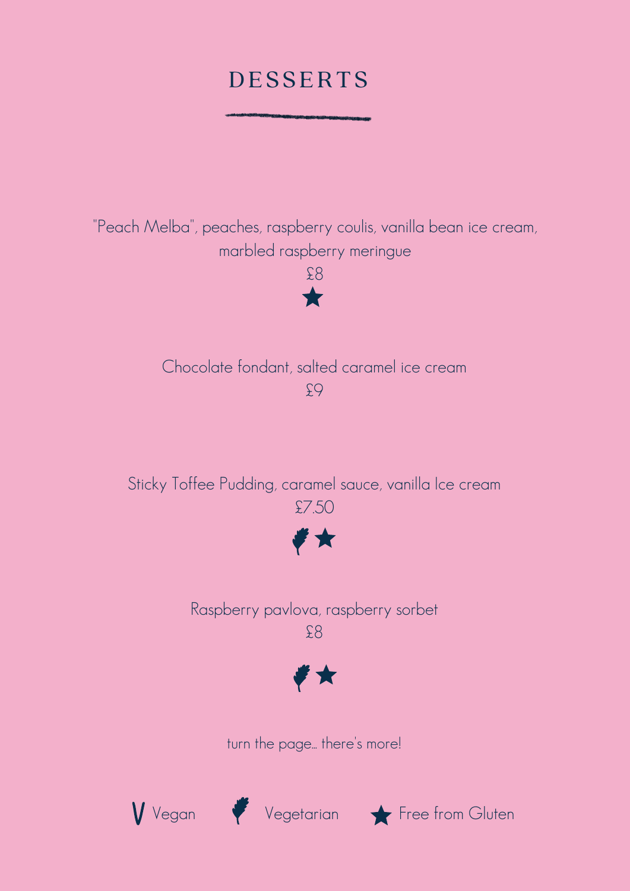# **DESSERTS**